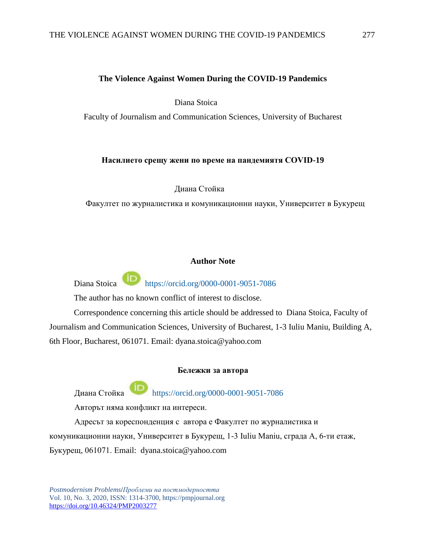## **The Violence Against Women During the COVID-19 Pandemics**

Diana Stoica

Faculty of Journalism and Communication Sciences, University of Bucharest

## **Насилието срещу жени по време на пандемиятя COVID-19**

Диана Стойка

Факултет по журналистика и комуникационни науки, Университет в Букурещ

## **Author Note**

Diana Stoica <https://orcid.org/0000-0001-9051-7086>

The author has no known conflict of interest to disclose.

Correspondence concerning this article should be addressed to Diana Stoica, Faculty of Journalism and Communication Sciences, University of Bucharest, 1-3 Iuliu Maniu, Building A, 6th Floor, Bucharest, 061071. Email: [dyana.stoica@yahoo.com](mailto:dyana.stoica@yahoo.com)

#### **Бележки за автора**

Диана Стойка https://orcid.org/0000-0001-9051-7086

Авторът няма конфликт на интереси.

Адресът за кореспонденция с автора е Факултет по журналистика и комуникационни науки, Университет в Букурещ, 1-3 Iuliu Maniu, сграда A, 6-ти етаж, Букурещ, 061071. Email: dyana.stoica@yahoo.com

*Postmodernism Problems*/*Проблеми на постмодерността*  Vol. 10, No. 3, 2020, ISSN: 1314-3700, https://pmpjournal.org https://doi.org/10.46324/PMP2003277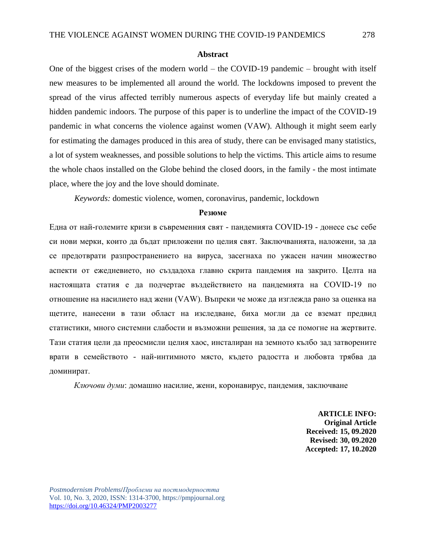#### **Abstract**

One of the biggest crises of the modern world – the COVID-19 pandemic – brought with itself new measures to be implemented all around the world. The lockdowns imposed to prevent the spread of the virus affected terribly numerous aspects of everyday life but mainly created a hidden pandemic indoors. The purpose of this paper is to underline the impact of the COVID-19 pandemic in what concerns the violence against women (VAW). Although it might seem early for estimating the damages produced in this area of study, there can be envisaged many statistics, a lot of system weaknesses, and possible solutions to help the victims. This article aims to resume the whole chaos installed on the Globe behind the closed doors, in the family - the most intimate place, where the joy and the love should dominate.

*Keywords:* domestic violence, women, coronavirus, pandemic, lockdown

#### **Резюме**

Една от най-големите кризи в съвременния свят - пандемията COVID-19 - донесе със себе си нови мерки, които да бъдат приложени по целия свят. Заключванията, наложени, за да се предотврати разпространението на вируса, засегнаха по ужасен начин множество аспекти от ежедневието, но създадоха главно скрита пандемия на закрито. Целта на настоящата статия е да подчертае въздействието на пандемията на COVID-19 по отношение на насилието над жени (VAW). Въпреки че може да изглежда рано за оценка на щетите, нанесени в тази област на изследване, биха могли да се вземат предвид статистики, много системни слабости и възможни решения, за да се помогне на жертвите. Тази статия цели да преосмисли целия хаос, инсталиран на земното кълбо зад затворените врати в семейството - най-интимното място, където радостта и любовта трябва да доминират.

*Ключови думи*: домашно насилие, жени, коронавирус, пандемия, заключване

**ARTICLE INFO: Original Article Received: 15, 09.2020 Revised: 30, 09.2020 Accepted: 17, 10.2020**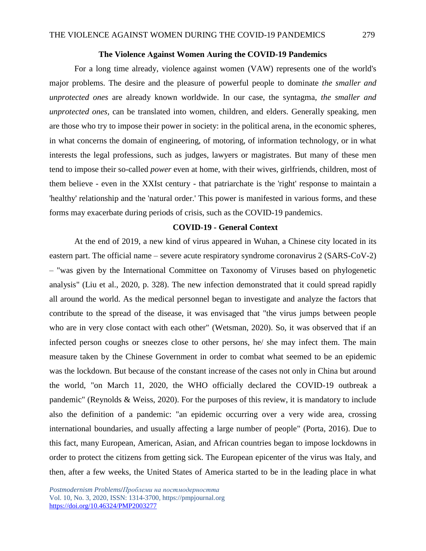### **The Violence Аgainst Women Аuring the COVID-19 Pandemics**

For a long time already, violence against women (VAW) represents one of the world's major problems. The desire and the pleasure of powerful people to dominate *the smaller and unprotected ones* are already known worldwide. In our case, the syntagma, *the smaller and unprotected ones,* can be translated into women, children, and elders. Generally speaking, men are those who try to impose their power in society: in the political arena, in the economic spheres, in what concerns the domain of engineering, of motoring, of information technology, or in what interests the legal professions, such as judges, lawyers or magistrates. But many of these men tend to impose their so-called *power* even at home, with their wives, girlfriends, children, most of them believe - even in the XXIst century - that patriarchate is the 'right' response to maintain a 'healthy' relationship and the 'natural order.' This power is manifested in various forms, and these forms may exacerbate during periods of crisis, such as the COVID-19 pandemics.

## **COVID-19 - General Context**

At the end of 2019, a new kind of virus appeared in Wuhan, a Chinese city located in its eastern part. The official name – severe acute respiratory syndrome coronavirus 2 (SARS-CoV-2) – "was given by the International Committee on Taxonomy of Viruses based on phylogenetic analysis" (Liu et al., 2020, p. 328). The new infection demonstrated that it could spread rapidly all around the world. As the medical personnel began to investigate and analyze the factors that contribute to the spread of the disease, it was envisaged that "the virus jumps between people who are in very close contact with each other" (Wetsman, 2020). So, it was observed that if an infected person coughs or sneezes close to other persons, he/ she may infect them. The main measure taken by the Chinese Government in order to combat what seemed to be an epidemic was the lockdown. But because of the constant increase of the cases not only in China but around the world, "on March 11, 2020, the WHO officially declared the COVID-19 outbreak a pandemic" (Reynolds & Weiss, 2020). For the purposes of this review, it is mandatory to include also the definition of a pandemic: "an epidemic occurring over a very wide area, crossing international boundaries, and usually affecting a large number of people" (Porta, 2016). Due to this fact, many European, American, Asian, and African countries began to impose lockdowns in order to protect the citizens from getting sick. The European epicenter of the virus was Italy, and then, after a few weeks, the United States of America started to be in the leading place in what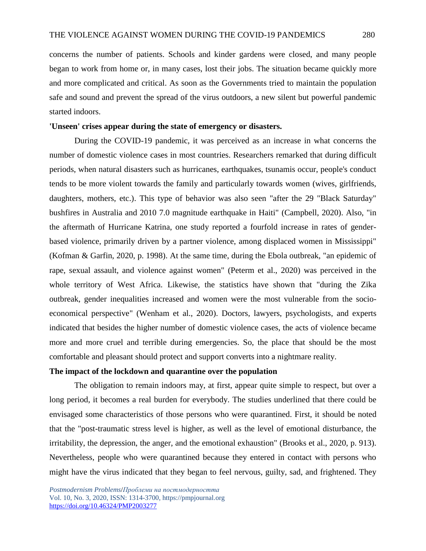concerns the number of patients. Schools and kinder gardens were closed, and many people began to work from home or, in many cases, lost their jobs. The situation became quickly more and more complicated and critical. As soon as the Governments tried to maintain the population safe and sound and prevent the spread of the virus outdoors, a new silent but powerful pandemic started indoors.

# **'Unseen' crises appear during the state of emergency or disasters.**

During the COVID-19 pandemic, it was perceived as an increase in what concerns the number of domestic violence cases in most countries. Researchers remarked that during difficult periods, when natural disasters such as hurricanes, earthquakes, tsunamis occur, people's conduct tends to be more violent towards the family and particularly towards women (wives, girlfriends, daughters, mothers, etc.). This type of behavior was also seen "after the 29 "Black Saturday" bushfires in Australia and 2010 7.0 magnitude earthquake in Haiti" (Campbell, 2020). Also, "in the aftermath of Hurricane Katrina, one study reported a fourfold increase in rates of genderbased violence, primarily driven by a partner violence, among displaced women in Mississippi" (Kofman & Garfin, 2020, p. 1998). At the same time, during the Ebola outbreak, "an epidemic of rape, sexual assault, and violence against women" (Peterm et al., 2020) was perceived in the whole territory of West Africa. Likewise, the statistics have shown that "during the Zika outbreak, gender inequalities increased and women were the most vulnerable from the socioeconomical perspective" (Wenham et al., 2020). Doctors, lawyers, psychologists, and experts indicated that besides the higher number of domestic violence cases, the acts of violence became more and more cruel and terrible during emergencies. So, the place that should be the most comfortable and pleasant should protect and support converts into a nightmare reality.

# **The impact of the lockdown and quarantine over the population**

The obligation to remain indoors may, at first, appear quite simple to respect, but over a long period, it becomes a real burden for everybody. The studies underlined that there could be envisaged some characteristics of those persons who were quarantined. First, it should be noted that the "post-traumatic stress level is higher, as well as the level of emotional disturbance, the irritability, the depression, the anger, and the emotional exhaustion" (Brooks et al., 2020, p. 913). Nevertheless, people who were quarantined because they entered in contact with persons who might have the virus indicated that they began to feel nervous, guilty, sad, and frightened. They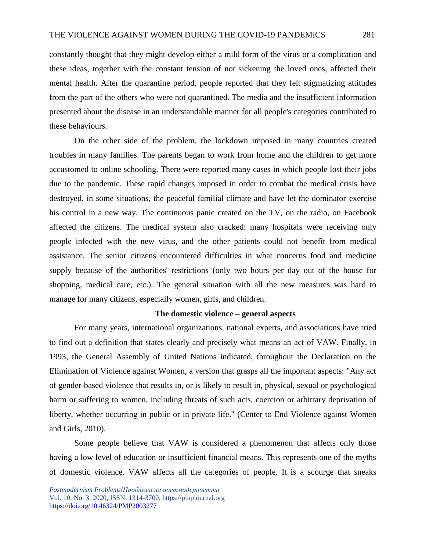constantly thought that they might develop either a mild form of the virus or a complication and these ideas, together with the constant tension of not sickening the loved ones, affected their mental health. After the quarantine period, people reported that they felt stigmatizing attitudes from the part of the others who were not quarantined. The media and the insufficient information presented about the disease in an understandable manner for all people's categories contributed to these behaviours.

On the other side of the problem, the lockdown imposed in many countries created troubles in many families. The parents began to work from home and the children to get more accustomed to online schooling. There were reported many cases in which people lost their jobs due to the pandemic. These rapid changes imposed in order to combat the medical crisis have destroyed, in some situations, the peaceful familial climate and have let the dominator exercise his control in a new way. The continuous panic created on the TV, on the radio, on Facebook affected the citizens. The medical system also cracked: many hospitals were receiving only people infected with the new virus, and the other patients could not benefit from medical assistance. The senior citizens encountered difficulties in what concerns food and medicine supply because of the authorities' restrictions (only two hours per day out of the house for shopping, medical care, etc.). The general situation with all the new measures was hard to manage for many citizens, especially women, girls, and children.

## **The domestic violence – general aspects**

For many years, international organizations, national experts, and associations have tried to find out a definition that states clearly and precisely what means an act of VAW. Finally, in 1993, the General Assembly of United Nations indicated, throughout the Declaration on the Elimination of Violence against Women, a version that grasps all the important aspects: "Any act of gender-based violence that results in, or is likely to result in, physical, sexual or psychological harm or suffering to women, including threats of such acts, coercion or arbitrary deprivation of liberty, whether occurring in public or in private life." (Center to End Violence against Women and Girls, 2010).

Some people believe that VAW is considered a phenomenon that affects only those having a low level of education or insufficient financial means. This represents one of the myths of domestic violence. VAW affects all the categories of people. It is a scourge that sneaks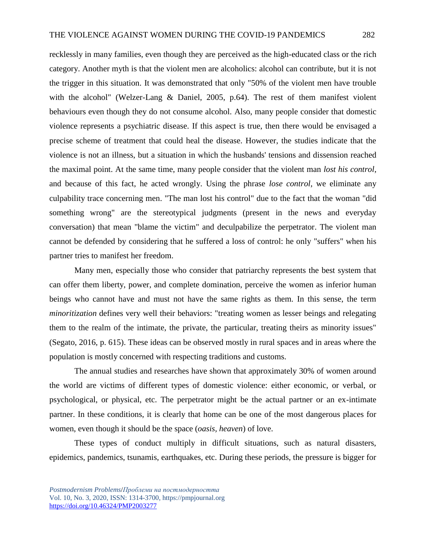recklessly in many families, even though they are perceived as the high-educated class or the rich category. Another myth is that the violent men are alcoholics: alcohol can contribute, but it is not the trigger in this situation. It was demonstrated that only "50% of the violent men have trouble with the alcohol" (Welzer-Lang & Daniel, 2005, p.64). The rest of them manifest violent behaviours even though they do not consume alcohol. Also, many people consider that domestic violence represents a psychiatric disease. If this aspect is true, then there would be envisaged a precise scheme of treatment that could heal the disease. However, the studies indicate that the violence is not an illness, but a situation in which the husbands' tensions and dissension reached the maximal point. At the same time, many people consider that the violent man *lost his control*, and because of this fact, he acted wrongly. Using the phrase *lose control*, we eliminate any culpability trace concerning men. "The man lost his control" due to the fact that the woman "did something wrong" are the stereotypical judgments (present in the news and everyday conversation) that mean "blame the victim" and deculpabilize the perpetrator. The violent man cannot be defended by considering that he suffered a loss of control: he only "suffers" when his partner tries to manifest her freedom.

Many men, especially those who consider that patriarchy represents the best system that can offer them liberty, power, and complete domination, perceive the women as inferior human beings who cannot have and must not have the same rights as them. In this sense, the term *minoritization* defines very well their behaviors: "treating women as lesser beings and relegating them to the realm of the intimate, the private, the particular, treating theirs as minority issues" (Segato, 2016, p. 615). These ideas can be observed mostly in rural spaces and in areas where the population is mostly concerned with respecting traditions and customs.

The annual studies and researches have shown that approximately 30% of women around the world are victims of different types of domestic violence: either economic, or verbal, or psychological, or physical, etc. The perpetrator might be the actual partner or an ex-intimate partner. In these conditions, it is clearly that home can be one of the most dangerous places for women, even though it should be the space (*oasis, heaven*) of love.

These types of conduct multiply in difficult situations, such as natural disasters, epidemics, pandemics, tsunamis, earthquakes, etc. During these periods, the pressure is bigger for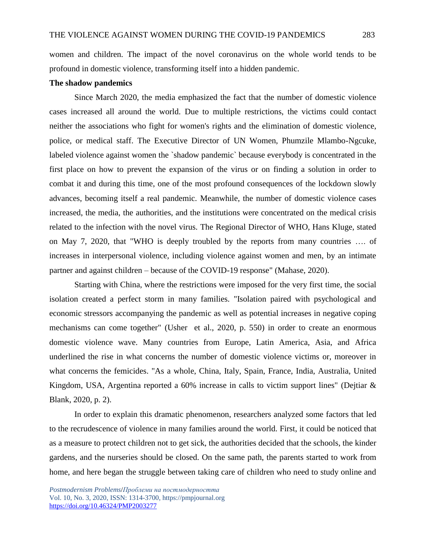women and children. The impact of the novel coronavirus on the whole world tends to be profound in domestic violence, transforming itself into a hidden pandemic.

## **The shadow pandemics**

Since March 2020, the media emphasized the fact that the number of domestic violence cases increased all around the world. Due to multiple restrictions, the victims could contact neither the associations who fight for women's rights and the elimination of domestic violence, police, or medical staff. The Executive Director of UN Women, Phumzile Mlambo-Ngcuke, labeled violence against women the `shadow pandemic` because everybody is concentrated in the first place on how to prevent the expansion of the virus or on finding a solution in order to combat it and during this time, one of the most profound consequences of the lockdown slowly advances, becoming itself a real pandemic. Meanwhile, the number of domestic violence cases increased, the media, the authorities, and the institutions were concentrated on the medical crisis related to the infection with the novel virus. The Regional Director of WHO, Hans Kluge, stated on May 7, 2020, that "WHO is deeply troubled by the reports from many countries …. of increases in interpersonal violence, including violence against women and men, by an intimate partner and against children – because of the COVID-19 response" (Mahase, 2020).

Starting with China, where the restrictions were imposed for the very first time, the social isolation created a perfect storm in many families. "Isolation paired with psychological and economic stressors accompanying the pandemic as well as potential increases in negative coping mechanisms can come together" (Usher et al., 2020, p. 550) in order to create an enormous domestic violence wave. Many countries from Europe, Latin America, Asia, and Africa underlined the rise in what concerns the number of domestic violence victims or, moreover in what concerns the femicides. "As a whole, China, Italy, Spain, France, India, Australia, United Kingdom, USA, Argentina reported a 60% increase in calls to victim support lines" (Dejtiar & Blank, 2020, p. 2).

In order to explain this dramatic phenomenon, researchers analyzed some factors that led to the recrudescence of violence in many families around the world. First, it could be noticed that as a measure to protect children not to get sick, the authorities decided that the schools, the kinder gardens, and the nurseries should be closed. On the same path, the parents started to work from home, and here began the struggle between taking care of children who need to study online and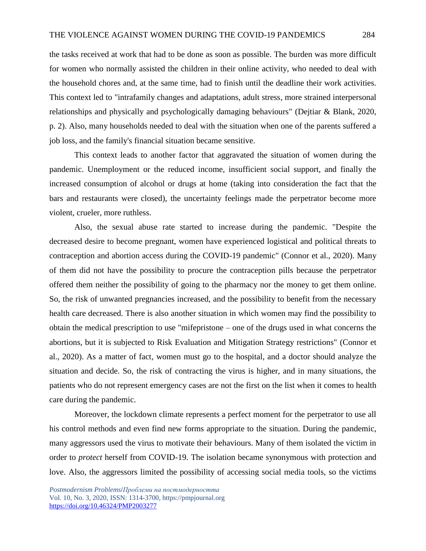the tasks received at work that had to be done as soon as possible. The burden was more difficult for women who normally assisted the children in their online activity, who needed to deal with the household chores and, at the same time, had to finish until the deadline their work activities. This context led to "intrafamily changes and adaptations, adult stress, more strained interpersonal relationships and physically and psychologically damaging behaviours" (Dejtiar & Blank, 2020, p. 2). Also, many households needed to deal with the situation when one of the parents suffered a job loss, and the family's financial situation became sensitive.

This context leads to another factor that aggravated the situation of women during the pandemic. Unemployment or the reduced income, insufficient social support, and finally the increased consumption of alcohol or drugs at home (taking into consideration the fact that the bars and restaurants were closed), the uncertainty feelings made the perpetrator become more violent, crueler, more ruthless.

Also, the sexual abuse rate started to increase during the pandemic. "Despite the decreased desire to become pregnant, women have experienced logistical and political threats to contraception and abortion access during the COVID-19 pandemic" (Connor et al., 2020). Many of them did not have the possibility to procure the contraception pills because the perpetrator offered them neither the possibility of going to the pharmacy nor the money to get them online. So, the risk of unwanted pregnancies increased, and the possibility to benefit from the necessary health care decreased. There is also another situation in which women may find the possibility to obtain the medical prescription to use "mifepristone – one of the drugs used in what concerns the abortions, but it is subjected to Risk Evaluation and Mitigation Strategy restrictions" (Connor et al., 2020). As a matter of fact, women must go to the hospital, and a doctor should analyze the situation and decide. So, the risk of contracting the virus is higher, and in many situations, the patients who do not represent emergency cases are not the first on the list when it comes to health care during the pandemic.

Moreover, the lockdown climate represents a perfect moment for the perpetrator to use all his control methods and even find new forms appropriate to the situation. During the pandemic, many aggressors used the virus to motivate their behaviours. Many of them isolated the victim in order to *protect* herself from COVID-19. The isolation became synonymous with protection and love. Also, the aggressors limited the possibility of accessing social media tools, so the victims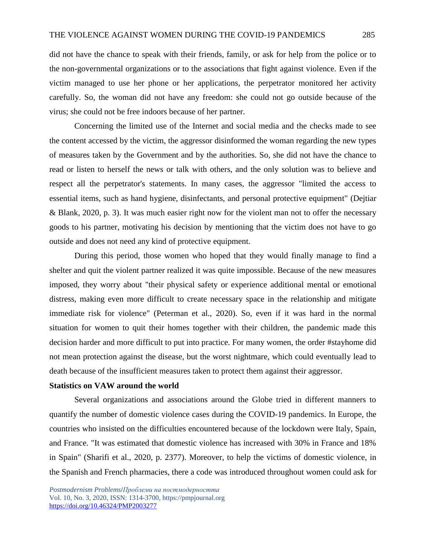did not have the chance to speak with their friends, family, or ask for help from the police or to the non-governmental organizations or to the associations that fight against violence. Even if the victim managed to use her phone or her applications, the perpetrator monitored her activity carefully. So, the woman did not have any freedom: she could not go outside because of the virus; she could not be free indoors because of her partner.

Concerning the limited use of the Internet and social media and the checks made to see the content accessed by the victim, the aggressor disinformed the woman regarding the new types of measures taken by the Government and by the authorities. So, she did not have the chance to read or listen to herself the news or talk with others, and the only solution was to believe and respect all the perpetrator's statements. In many cases, the aggressor "limited the access to essential items, such as hand hygiene, disinfectants, and personal protective equipment" (Dejtiar & Blank, 2020, p. 3). It was much easier right now for the violent man not to offer the necessary goods to his partner, motivating his decision by mentioning that the victim does not have to go outside and does not need any kind of protective equipment.

During this period, those women who hoped that they would finally manage to find a shelter and quit the violent partner realized it was quite impossible. Because of the new measures imposed, they worry about "their physical safety or experience additional mental or emotional distress, making even more difficult to create necessary space in the relationship and mitigate immediate risk for violence" (Peterman et al., 2020). So, even if it was hard in the normal situation for women to quit their homes together with their children, the pandemic made this decision harder and more difficult to put into practice. For many women, the order #stayhome did not mean protection against the disease, but the worst nightmare, which could eventually lead to death because of the insufficient measures taken to protect them against their aggressor.

## **Statistics on VAW around the world**

Several organizations and associations around the Globe tried in different manners to quantify the number of domestic violence cases during the COVID-19 pandemics. In Europe, the countries who insisted on the difficulties encountered because of the lockdown were Italy, Spain, and France. "It was estimated that domestic violence has increased with 30% in France and 18% in Spain" (Sharifi et al., 2020, p. 2377). Moreover, to help the victims of domestic violence, in the Spanish and French pharmacies, there a code was introduced throughout women could ask for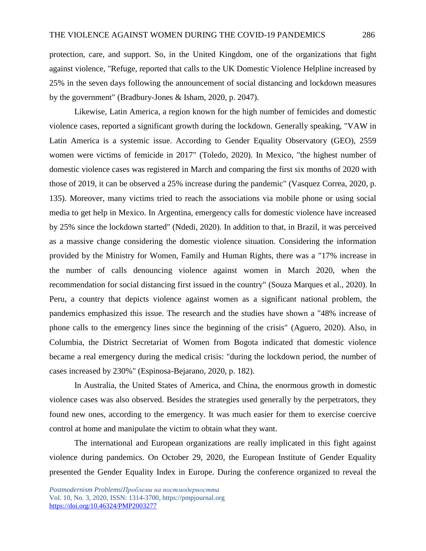protection, care, and support. So, in the United Kingdom, one of the organizations that fight against violence, "Refuge, reported that calls to the UK Domestic Violence Helpline increased by 25% in the seven days following the announcement of social distancing and lockdown measures by the government" (Bradbury-Jones & Isham, 2020, p. 2047).

Likewise, Latin America, a region known for the high number of femicides and domestic violence cases, reported a significant growth during the lockdown. Generally speaking, "VAW in Latin America is a systemic issue. According to Gender Equality Observatory (GEO), 2559 women were victims of femicide in 2017" (Toledo, 2020). In Mexico, "the highest number of domestic violence cases was registered in March and comparing the first six months of 2020 with those of 2019, it can be observed a 25% increase during the pandemic" (Vasquez Correa, 2020, p. 135). Moreover, many victims tried to reach the associations via mobile phone or using social media to get help in Mexico. In Argentina, emergency calls for domestic violence have increased by 25% since the lockdown started" (Ndedi, 2020). In addition to that, in Brazil, it was perceived as a massive change considering the domestic violence situation. Considering the information provided by the Ministry for Women, Family and Human Rights, there was a "17% increase in the number of calls denouncing violence against women in March 2020, when the recommendation for social distancing first issued in the country" (Souza Marques et al., 2020). In Peru, a country that depicts violence against women as a significant national problem, the pandemics emphasized this issue. The research and the studies have shown a "48% increase of phone calls to the emergency lines since the beginning of the crisis" (Aguero, 2020). Also, in Columbia, the District Secretariat of Women from Bogota indicated that domestic violence became a real emergency during the medical crisis: "during the lockdown period, the number of cases increased by 230%" (Espinosa-Bejarano, 2020, p. 182).

In Australia, the United States of America, and China, the enormous growth in domestic violence cases was also observed. Besides the strategies used generally by the perpetrators, they found new ones, according to the emergency. It was much easier for them to exercise coercive control at home and manipulate the victim to obtain what they want.

The international and European organizations are really implicated in this fight against violence during pandemics. On October 29, 2020, the European Institute of Gender Equality presented the Gender Equality Index in Europe. During the conference organized to reveal the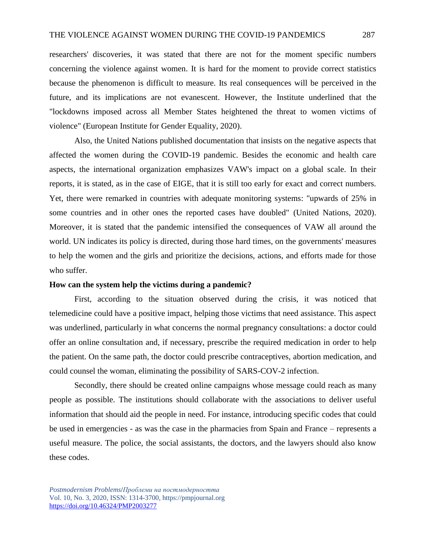researchers' discoveries, it was stated that there are not for the moment specific numbers concerning the violence against women. It is hard for the moment to provide correct statistics because the phenomenon is difficult to measure. Its real consequences will be perceived in the future, and its implications are not evanescent. However, the Institute underlined that the "lockdowns imposed across all Member States heightened the threat to women victims of violence" (European Institute for Gender Equality, 2020).

Also, the United Nations published documentation that insists on the negative aspects that affected the women during the COVID-19 pandemic. Besides the economic and health care aspects, the international organization emphasizes VAW's impact on a global scale. In their reports, it is stated, as in the case of EIGE, that it is still too early for exact and correct numbers. Yet, there were remarked in countries with adequate monitoring systems: "upwards of 25% in some countries and in other ones the reported cases have doubled" (United Nations, 2020). Moreover, it is stated that the pandemic intensified the consequences of VAW all around the world. UN indicates its policy is directed, during those hard times, on the governments' measures to help the women and the girls and prioritize the decisions, actions, and efforts made for those who suffer.

#### **How can the system help the victims during a pandemic?**

First, according to the situation observed during the crisis, it was noticed that telemedicine could have a positive impact, helping those victims that need assistance. This aspect was underlined, particularly in what concerns the normal pregnancy consultations: a doctor could offer an online consultation and, if necessary, prescribe the required medication in order to help the patient. On the same path, the doctor could prescribe contraceptives, abortion medication, and could counsel the woman, eliminating the possibility of SARS-COV-2 infection.

Secondly, there should be created online campaigns whose message could reach as many people as possible. The institutions should collaborate with the associations to deliver useful information that should aid the people in need. For instance, introducing specific codes that could be used in emergencies - as was the case in the pharmacies from Spain and France – represents a useful measure. The police, the social assistants, the doctors, and the lawyers should also know these codes.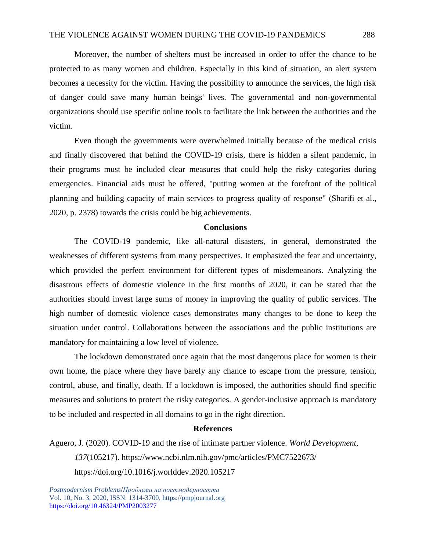Moreover, the number of shelters must be increased in order to offer the chance to be protected to as many women and children. Especially in this kind of situation, an alert system becomes a necessity for the victim. Having the possibility to announce the services, the high risk of danger could save many human beings' lives. The governmental and non-governmental organizations should use specific online tools to facilitate the link between the authorities and the victim.

Even though the governments were overwhelmed initially because of the medical crisis and finally discovered that behind the COVID-19 crisis, there is hidden a silent pandemic, in their programs must be included clear measures that could help the risky categories during emergencies. Financial aids must be offered, "putting women at the forefront of the political planning and building capacity of main services to progress quality of response" (Sharifi et al., 2020, p. 2378) towards the crisis could be big achievements.

## **Conclusions**

The COVID-19 pandemic, like all-natural disasters, in general, demonstrated the weaknesses of different systems from many perspectives. It emphasized the fear and uncertainty, which provided the perfect environment for different types of misdemeanors. Analyzing the disastrous effects of domestic violence in the first months of 2020, it can be stated that the authorities should invest large sums of money in improving the quality of public services. The high number of domestic violence cases demonstrates many changes to be done to keep the situation under control. Collaborations between the associations and the public institutions are mandatory for maintaining a low level of violence.

The lockdown demonstrated once again that the most dangerous place for women is their own home, the place where they have barely any chance to escape from the pressure, tension, control, abuse, and finally, death. If a lockdown is imposed, the authorities should find specific measures and solutions to protect the risky categories. A gender-inclusive approach is mandatory to be included and respected in all domains to go in the right direction.

## **References**

Aguero, J. (2020). COVID-19 and the rise of intimate partner violence. *World Development*, *137*(105217).<https://www.ncbi.nlm.nih.gov/pmc/articles/PMC7522673/> https://doi.org/10.1016/j.worlddev.2020.105217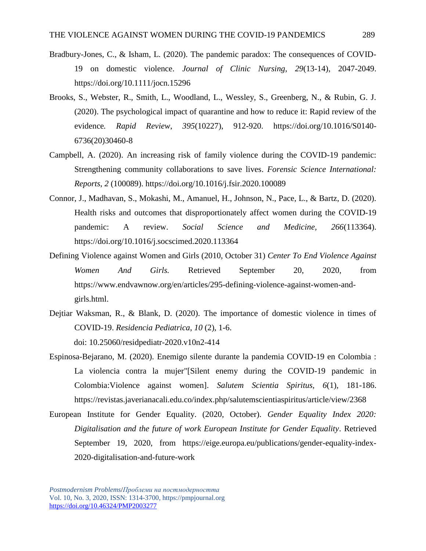- Bradbury-Jones, C., & Isham, L. (2020). The pandemic paradox: The consequences of COVID-19 on domestic violence. *Journal of Clinic Nursing*, *29*(13-14), 2047-2049. https://doi.org/10.1111/jocn.15296
- Brooks, S., Webster, R., Smith, L., Woodland, L., Wessley, S., Greenberg, N., & Rubin, G. J. (2020). The psychological impact of quarantine and how to reduce it: Rapid review of the evidence*. Rapid Review*, *395*(10227), 912-920. https://doi.org/10.1016/S0140- 6736(20)30460-8
- Campbell, A. (2020). An increasing risk of family violence during the COVID-19 pandemic: Strengthening community collaborations to save lives. *Forensic Science International: Reports*, *2* (100089).<https://doi.org/10.1016/j.fsir.2020.100089>
- Connor, J., Madhavan, S., Mokashi, M., Amanuel, H., Johnson, N., Pace, L., & Bartz, D. (2020). Health risks and outcomes that disproportionately affect women during the COVID-19 pandemic: A review. *Social Science and Medicine, 266*(113364). https://doi.org/10.1016/j.socscimed.2020.113364
- Defining Violence against Women and Girls (2010, October 31) *Center To End Violence Against Women And Girls.* Retrieved September 20, 2020, from [https://www.endvawnow.org/en/articles/295-defining-violence-against-women-and](https://www.endvawnow.org/en/articles/295-defining-violence-against-women-and-girls.html)[girls.html.](https://www.endvawnow.org/en/articles/295-defining-violence-against-women-and-girls.html)
- Dejtiar Waksman, R., & Blank, D. (2020). The importance of domestic violence in times of COVID-19. *Residencia Pediatrica*, *10* (2), 1-6. doi: 10.25060/residpediatr-2020.v10n2-414
- Espinosa-Bejarano, M. (2020). Enemigo silente durante la pandemia COVID-19 en Colombia : La violencia contra la mujer"[Silent enemy during the COVID-19 pandemic in Colombia:Violence against women]. *Salutem Scientia Spiritus, 6*(1), 181-186. https://revistas.javerianacali.edu.co/index.php/salutemscientiaspiritus/article/view/2368
- European Institute for Gender Equality. (2020, October). *Gender Equality Index 2020: Digitalisation and the future of work European Institute for Gender Equality*. Retrieved September 19, 2020, from [https://eige.europa.eu/publications/gender-equality-index-](https://eige.europa.eu/publications/gender-equality-index-2020-digitalisation-and-future-work)[2020-digitalisation-and-future-work](https://eige.europa.eu/publications/gender-equality-index-2020-digitalisation-and-future-work)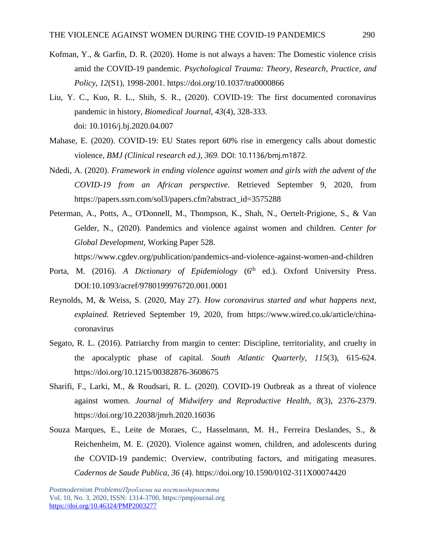- Kofman, Y., & Garfin, D. R. (2020). Home is not always a haven: The Domestic violence crisis amid the COVID-19 pandemic. *Psychological Trauma: Theory, Research, Practice, and Policy*, *12*(S1), 1998-2001. https://doi.org/10.1037/tra0000866
- Liu, Y. C., Kuo, R. L., Shih, S. R., (2020). COVID-19: The first documented coronavirus pandemic in history, *Biomedical Journal*, *43*(4), 328-333. doi: 10.1016/j.bj.2020.04.007
- Mahase, E. (2020). COVID-19: EU States report 60% rise in emergency calls about domestic violence, *BMJ (Clinical research ed.), 369.* DOI: 10.1136/bmj.m1872.
- Ndedi, A. (2020). *Framework in ending violence against women and girls with the advent of the COVID-19 from an African perspective*. Retrieved September 9, 2020, from [https://papers.ssrn.com/sol3/papers.cfm?abstract\\_id=3575288](https://papers.ssrn.com/sol3/papers.cfm?abstract_id=3575288)
- Peterman, A., Potts, A., O'Donnell, M., Thompson, K., Shah, N., Oertelt-Prigione, S., & Van Gelder, N., (2020). Pandemics and violence against women and children*. Center for Global Development*, Working Paper 528.

<https://www.cgdev.org/publication/pandemics-and-violence-against-women-and-children>

- Porta, M. (2016). *A Dictionary of Epidemiology* (6<sup>th</sup> ed.). Oxford University Press. DOI:10.1093/acref/9780199976720.001.0001
- Reynolds, M, & Weiss, S. (2020, May 27). *How coronavirus started and what happens next, explained.* Retrieved September 19, 2020, from [https://www.wired.co.uk/article/china](https://www.wired.co.uk/article/china-coronavirus)[coronavirus](https://www.wired.co.uk/article/china-coronavirus)
- Segato, R. L. (2016). Patriarchy from margin to center: Discipline, territoriality, and cruelty in the apocalyptic phase of capital. *South Atlantic Quarterly, 115*(3), 615-624. https://doi.org/10.1215/00382876-3608675
- Sharifi, F., Larki, M., & Roudsari, R. L. (2020). COVID-19 Outbreak as a threat of violence against women. *Journal of Midwifery and Reproductive Health*, *8*(3), 2376-2379. https://doi.org/10.22038/jmrh.2020.16036
- Souza Marques, E., Leite de Moraes, C., Hasselmann, M. H., Ferreira Deslandes, S., & Reichenheim, M. E. (2020). Violence against women, children, and adolescents during the COVID-19 pandemic: Overview, contributing factors, and mitigating measures. *Cadernos de Saude Publica, 36* (4). https://doi.org/10.1590/0102-311X00074420